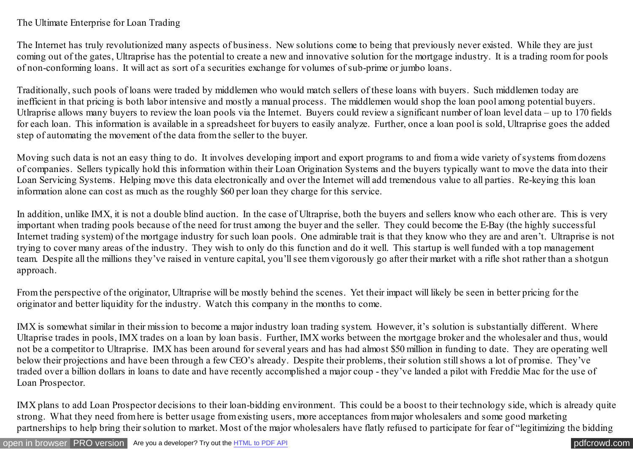## The Ultimate Enterprise for Loan Trading

The Internet has truly revolutionized many aspects of business. New solutions come to being that previously never existed. While they are just coming out of the gates, Ultraprise has the potential to create a new and innovative solution for the mortgage industry. It is a trading room for pools of non-conforming loans. It will act as sort of a securities exchange for volumes of sub-prime or jumbo loans.

Traditionally, such pools of loans were traded by middlemen who would match sellers of these loans with buyers. Such middlemen today are inefficient in that pricing is both labor intensive and mostly a manual process. The middlemen would shop the loan pool among potential buyers. Utlraprise allows many buyers to review the loan pools via the Internet. Buyers could review a significant number of loan level data – up to 170 fields for each loan. This information is available in a spreadsheet for buyers to easily analyze. Further, once a loan pool is sold, Ultraprise goes the added step of automating the movement of the data from the seller to the buyer.

Moving such data is not an easy thing to do. It involves developing import and export programs to and from a wide variety of systems from dozens of companies. Sellers typically hold this information within their Loan Origination Systems and the buyers typically want to move the data into their Loan Servicing Systems. Helping move this data electronically and over the Internet will add tremendous value to all parties. Re-keying this loan information alone can cost as much as the roughly \$60 per loan they charge for this service.

In addition, unlike IMX, it is not a double blind auction. In the case of Ultraprise, both the buyers and sellers know who each other are. This is very important when trading pools because of the need for trust among the buyer and the seller. They could become the E-Bay (the highly successful Internet trading system) of the mortgage industry for such loan pools. One admirable trait is that they know who they are and aren't. Ultraprise is not trying to cover many areas of the industry. They wish to only do this function and do it well. This startup is well funded with a top management team. Despite all the millions they've raised in venture capital, you'll see them vigorously go after their market with a rifle shot rather than a shotgun approach.

From the perspective of the originator, Ultraprise will be mostly behind the scenes. Yet their impact will likely be seen in better pricing for the originator and better liquidity for the industry. Watch this company in the months to come.

IMX is somewhat similar in their mission to become a major industry loan trading system. However, it's solution is substantially different. Where Ultaprise trades in pools, IMX trades on a loan by loan basis. Further, IMX works between the mortgage broker and the wholesaler and thus, would not be a competitor to Ultraprise. IMX has been around for several years and has had almost \$50 million in funding to date. They are operating well below their projections and have been through a few CEO's already. Despite their problems, their solution still shows a lot of promise. They've traded over a billion dollars in loans to date and have recently accomplished a major coup - they've landed a pilot with Freddie Mac for the use of Loan Prospector.

IMX plans to add Loan Prospector decisions to their loan-bidding environment. This could be a boost to their technology side, which is already quite strong. What they need from here is better usage from existing users, more acceptances from major wholesalers and some good marketing partnerships to help bring their solution to market. Most of the major wholesalers have flatly refused to participate for fear of "legitimizing the bidding